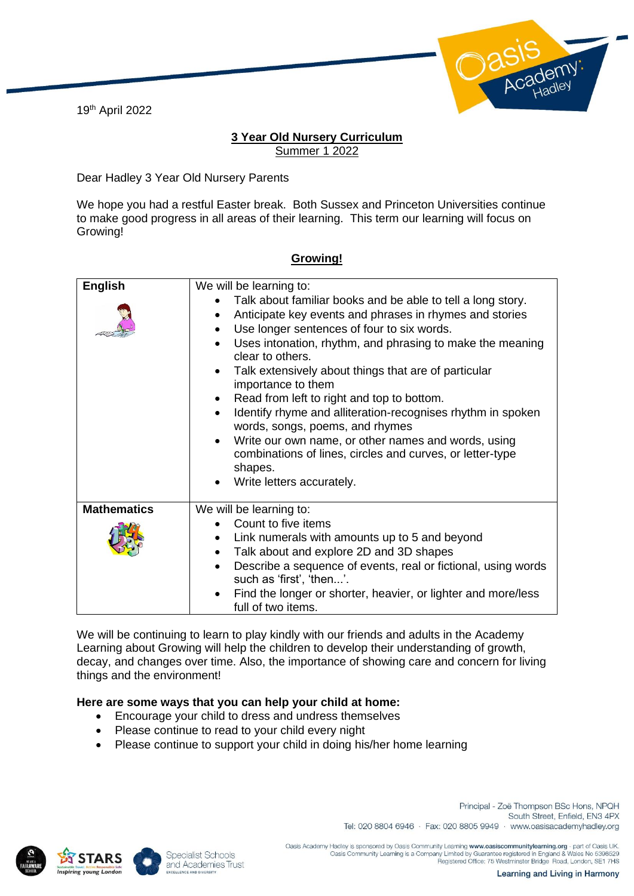19th April 2022



## **3 Year Old Nursery Curriculum** Summer 1 2022

Dear Hadley 3 Year Old Nursery Parents

We hope you had a restful Easter break. Both Sussex and Princeton Universities continue to make good progress in all areas of their learning. This term our learning will focus on Growing!

| <b>English</b>     | We will be learning to:                                                                                                                                                                                                                                                                                                                                                                                                                                                                                                                                                                                                                                                                             |
|--------------------|-----------------------------------------------------------------------------------------------------------------------------------------------------------------------------------------------------------------------------------------------------------------------------------------------------------------------------------------------------------------------------------------------------------------------------------------------------------------------------------------------------------------------------------------------------------------------------------------------------------------------------------------------------------------------------------------------------|
|                    | Talk about familiar books and be able to tell a long story.<br>Anticipate key events and phrases in rhymes and stories<br>$\bullet$<br>Use longer sentences of four to six words.<br>Uses intonation, rhythm, and phrasing to make the meaning<br>$\bullet$<br>clear to others.<br>Talk extensively about things that are of particular<br>importance to them<br>Read from left to right and top to bottom.<br>Identify rhyme and alliteration-recognises rhythm in spoken<br>$\bullet$<br>words, songs, poems, and rhymes<br>Write our own name, or other names and words, using<br>$\bullet$<br>combinations of lines, circles and curves, or letter-type<br>shapes.<br>Write letters accurately. |
| <b>Mathematics</b> | We will be learning to:                                                                                                                                                                                                                                                                                                                                                                                                                                                                                                                                                                                                                                                                             |
|                    | Count to five items                                                                                                                                                                                                                                                                                                                                                                                                                                                                                                                                                                                                                                                                                 |
|                    | Link numerals with amounts up to 5 and beyond                                                                                                                                                                                                                                                                                                                                                                                                                                                                                                                                                                                                                                                       |
|                    | Talk about and explore 2D and 3D shapes<br>$\bullet$                                                                                                                                                                                                                                                                                                                                                                                                                                                                                                                                                                                                                                                |
|                    | Describe a sequence of events, real or fictional, using words<br>$\bullet$<br>such as 'first', 'then'.                                                                                                                                                                                                                                                                                                                                                                                                                                                                                                                                                                                              |
|                    | Find the longer or shorter, heavier, or lighter and more/less<br>full of two items.                                                                                                                                                                                                                                                                                                                                                                                                                                                                                                                                                                                                                 |

## **Growing!**

We will be continuing to learn to play kindly with our friends and adults in the Academy Learning about Growing will help the children to develop their understanding of growth, decay, and changes over time. Also, the importance of showing care and concern for living things and the environment!

## **Here are some ways that you can help your child at home:**

- Encourage your child to dress and undress themselves
- Please continue to read to your child every night
- Please continue to support your child in doing his/her home learning





Principal - Zoë Thompson BSc Hons, NPQH South Street, Enfield, EN3 4PX Tel: 020 8804 6946 · Fax: 020 8805 9949 · www.oasisacademyhadley.org